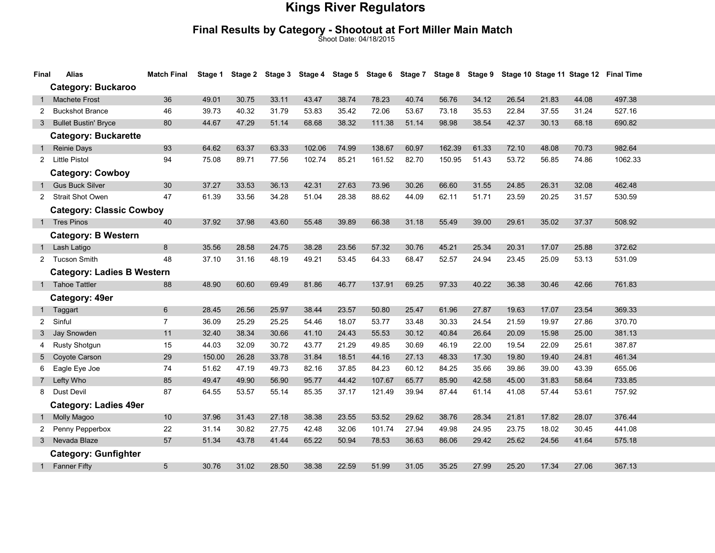# Final Results by Category - Shootout at Fort Miller Main Match Shoot Date: 04/18/2015

| Final                        | <b>Alias</b>                      | <b>Match Final</b> | Stage 1 |       |       |        |       |        |       |        |       |       |       |       | Stage 2 Stage 3 Stage 4 Stage 5 Stage 6 Stage 7 Stage 8 Stage 9 Stage 10 Stage 11 Stage 12 Final Time |  |
|------------------------------|-----------------------------------|--------------------|---------|-------|-------|--------|-------|--------|-------|--------|-------|-------|-------|-------|-------------------------------------------------------------------------------------------------------|--|
|                              | <b>Category: Buckaroo</b>         |                    |         |       |       |        |       |        |       |        |       |       |       |       |                                                                                                       |  |
|                              | <b>Machete Frost</b>              | 36                 | 49.01   | 30.75 | 33.11 | 43.47  | 38.74 | 78.23  | 40.74 | 56.76  | 34.12 | 26.54 | 21.83 | 44.08 | 497.38                                                                                                |  |
| 2                            | <b>Buckshot Brance</b>            | 46                 | 39.73   | 40.32 | 31.79 | 53.83  | 35.42 | 72.06  | 53.67 | 73.18  | 35.53 | 22.84 | 37.55 | 31.24 | 527.16                                                                                                |  |
|                              | 3 Bullet Bustin' Bryce            | 80                 | 44.67   | 47.29 | 51.14 | 68.68  | 38.32 | 111.38 | 51.14 | 98.98  | 38.54 | 42.37 | 30.13 | 68.18 | 690.82                                                                                                |  |
| <b>Category: Buckarette</b>  |                                   |                    |         |       |       |        |       |        |       |        |       |       |       |       |                                                                                                       |  |
|                              | Reinie Days                       | 93                 | 64.62   | 63.37 | 63.33 | 102.06 | 74.99 | 138.67 | 60.97 | 162.39 | 61.33 | 72.10 | 48.08 | 70.73 | 982.64                                                                                                |  |
| 2                            | Little Pistol                     | 94                 | 75.08   | 89.71 | 77.56 | 102.74 | 85.21 | 161.52 | 82.70 | 150.95 | 51.43 | 53.72 | 56.85 | 74.86 | 1062.33                                                                                               |  |
|                              | <b>Category: Cowboy</b>           |                    |         |       |       |        |       |        |       |        |       |       |       |       |                                                                                                       |  |
|                              | <b>Gus Buck Silver</b>            | 30                 | 37.27   | 33.53 | 36.13 | 42.31  | 27.63 | 73.96  | 30.26 | 66.60  | 31.55 | 24.85 | 26.31 | 32.08 | 462.48                                                                                                |  |
| $\mathbf{2}$                 | <b>Strait Shot Owen</b>           | 47                 | 61.39   | 33.56 | 34.28 | 51.04  | 28.38 | 88.62  | 44.09 | 62.11  | 51.71 | 23.59 | 20.25 | 31.57 | 530.59                                                                                                |  |
|                              | <b>Category: Classic Cowboy</b>   |                    |         |       |       |        |       |        |       |        |       |       |       |       |                                                                                                       |  |
|                              | 1 Tres Pinos                      | 40                 | 37.92   | 37.98 | 43.60 | 55.48  | 39.89 | 66.38  | 31.18 | 55.49  | 39.00 | 29.61 | 35.02 | 37.37 | 508.92                                                                                                |  |
|                              | <b>Category: B Western</b>        |                    |         |       |       |        |       |        |       |        |       |       |       |       |                                                                                                       |  |
| 1                            | Lash Latigo                       | 8                  | 35.56   | 28.58 | 24.75 | 38.28  | 23.56 | 57.32  | 30.76 | 45.21  | 25.34 | 20.31 | 17.07 | 25.88 | 372.62                                                                                                |  |
|                              | 2 Tucson Smith                    | 48                 | 37.10   | 31.16 | 48.19 | 49.21  | 53.45 | 64.33  | 68.47 | 52.57  | 24.94 | 23.45 | 25.09 | 53.13 | 531.09                                                                                                |  |
|                              | <b>Category: Ladies B Western</b> |                    |         |       |       |        |       |        |       |        |       |       |       |       |                                                                                                       |  |
|                              | 1 Tahoe Tattler                   | 88                 | 48.90   | 60.60 | 69.49 | 81.86  | 46.77 | 137.91 | 69.25 | 97.33  | 40.22 | 36.38 | 30.46 | 42.66 | 761.83                                                                                                |  |
|                              | Category: 49er                    |                    |         |       |       |        |       |        |       |        |       |       |       |       |                                                                                                       |  |
|                              | Taggart                           | 6                  | 28.45   | 26.56 | 25.97 | 38.44  | 23.57 | 50.80  | 25.47 | 61.96  | 27.87 | 19.63 | 17.07 | 23.54 | 369.33                                                                                                |  |
| $\mathbf{2}$                 | Sinful                            | $\overline{7}$     | 36.09   | 25.29 | 25.25 | 54.46  | 18.07 | 53.77  | 33.48 | 30.33  | 24.54 | 21.59 | 19.97 | 27.86 | 370.70                                                                                                |  |
|                              | 3 Jay Snowden                     | 11                 | 32.40   | 38.34 | 30.66 | 41.10  | 24.43 | 55.53  | 30.12 | 40.84  | 26.64 | 20.09 | 15.98 | 25.00 | 381.13                                                                                                |  |
|                              | <b>Rusty Shotgun</b>              | 15                 | 44.03   | 32.09 | 30.72 | 43.77  | 21.29 | 49.85  | 30.69 | 46.19  | 22.00 | 19.54 | 22.09 | 25.61 | 387.87                                                                                                |  |
|                              | Coyote Carson                     | 29                 | 150.00  | 26.28 | 33.78 | 31.84  | 18.51 | 44.16  | 27.13 | 48.33  | 17.30 | 19.80 | 19.40 | 24.81 | 461.34                                                                                                |  |
| 6                            | Eagle Eye Joe                     | 74                 | 51.62   | 47.19 | 49.73 | 82.16  | 37.85 | 84.23  | 60.12 | 84.25  | 35.66 | 39.86 | 39.00 | 43.39 | 655.06                                                                                                |  |
| $7^{\circ}$                  | Lefty Who                         | 85                 | 49.47   | 49.90 | 56.90 | 95.77  | 44.42 | 107.67 | 65.77 | 85.90  | 42.58 | 45.00 | 31.83 | 58.64 | 733.85                                                                                                |  |
| 8                            | Dust Devil                        | 87                 | 64.55   | 53.57 | 55.14 | 85.35  | 37.17 | 121.49 | 39.94 | 87.44  | 61.14 | 41.08 | 57.44 | 53.61 | 757.92                                                                                                |  |
| <b>Category: Ladies 49er</b> |                                   |                    |         |       |       |        |       |        |       |        |       |       |       |       |                                                                                                       |  |
|                              | Molly Magoo                       | 10                 | 37.96   | 31.43 | 27.18 | 38.38  | 23.55 | 53.52  | 29.62 | 38.76  | 28.34 | 21.81 | 17.82 | 28.07 | 376.44                                                                                                |  |
| 2                            | Penny Pepperbox                   | 22                 | 31.14   | 30.82 | 27.75 | 42.48  | 32.06 | 101.74 | 27.94 | 49.98  | 24.95 | 23.75 | 18.02 | 30.45 | 441.08                                                                                                |  |
|                              | 3 Nevada Blaze                    | 57                 | 51.34   | 43.78 | 41.44 | 65.22  | 50.94 | 78.53  | 36.63 | 86.06  | 29.42 | 25.62 | 24.56 | 41.64 | 575.18                                                                                                |  |
|                              | <b>Category: Gunfighter</b>       |                    |         |       |       |        |       |        |       |        |       |       |       |       |                                                                                                       |  |
|                              | 1 Fanner Fifty                    | 5                  | 30.76   | 31.02 | 28.50 | 38.38  | 22.59 | 51.99  | 31.05 | 35.25  | 27.99 | 25.20 | 17.34 | 27.06 | 367.13                                                                                                |  |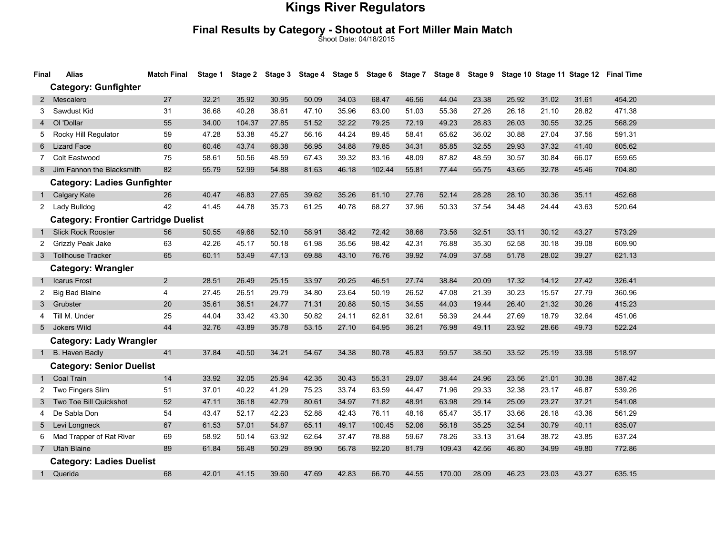# Final Results by Category - Shootout at Fort Miller Main Match Shoot Date: 04/18/2015

| Final          | Alias                                       | <b>Match Final</b> |       |        |       |       |       |        |       |        |       |       |       |       | Stage 1 Stage 2 Stage 3 Stage 4 Stage 5 Stage 6 Stage 7 Stage 8 Stage 9 Stage 10 Stage 11 Stage 12 Final Time |
|----------------|---------------------------------------------|--------------------|-------|--------|-------|-------|-------|--------|-------|--------|-------|-------|-------|-------|---------------------------------------------------------------------------------------------------------------|
|                | <b>Category: Gunfighter</b>                 |                    |       |        |       |       |       |        |       |        |       |       |       |       |                                                                                                               |
| $\mathbf{2}$   | Mescalero                                   | 27                 | 32.21 | 35.92  | 30.95 | 50.09 | 34.03 | 68.47  | 46.56 | 44.04  | 23.38 | 25.92 | 31.02 | 31.61 | 454.20                                                                                                        |
| 3              | Sawdust Kid                                 | 31                 | 36.68 | 40.28  | 38.61 | 47.10 | 35.96 | 63.00  | 51.03 | 55.36  | 27.26 | 26.18 | 21.10 | 28.82 | 471.38                                                                                                        |
| $\overline{4}$ | OI 'Dollar                                  | 55                 | 34.00 | 104.37 | 27.85 | 51.52 | 32.22 | 79.25  | 72.19 | 49.23  | 28.83 | 26.03 | 30.55 | 32.25 | 568.29                                                                                                        |
| 5              | Rocky Hill Regulator                        | 59                 | 47.28 | 53.38  | 45.27 | 56.16 | 44.24 | 89.45  | 58.41 | 65.62  | 36.02 | 30.88 | 27.04 | 37.56 | 591.31                                                                                                        |
| 6              | <b>Lizard Face</b>                          | 60                 | 60.46 | 43.74  | 68.38 | 56.95 | 34.88 | 79.85  | 34.31 | 85.85  | 32.55 | 29.93 | 37.32 | 41.40 | 605.62                                                                                                        |
| $\overline{7}$ | Colt Eastwood                               | 75                 | 58.61 | 50.56  | 48.59 | 67.43 | 39.32 | 83.16  | 48.09 | 87.82  | 48.59 | 30.57 | 30.84 | 66.07 | 659.65                                                                                                        |
| 8              | Jim Fannon the Blacksmith                   | 82                 | 55.79 | 52.99  | 54.88 | 81.63 | 46.18 | 102.44 | 55.81 | 77.44  | 55.75 | 43.65 | 32.78 | 45.46 | 704.80                                                                                                        |
|                | <b>Category: Ladies Gunfighter</b>          |                    |       |        |       |       |       |        |       |        |       |       |       |       |                                                                                                               |
| 1              | Calgary Kate                                | 26                 | 40.47 | 46.83  | 27.65 | 39.62 | 35.26 | 61.10  | 27.76 | 52.14  | 28.28 | 28.10 | 30.36 | 35.11 | 452.68                                                                                                        |
|                | 2 Lady Bulldog                              | 42                 | 41.45 | 44.78  | 35.73 | 61.25 | 40.78 | 68.27  | 37.96 | 50.33  | 37.54 | 34.48 | 24.44 | 43.63 | 520.64                                                                                                        |
|                | <b>Category: Frontier Cartridge Duelist</b> |                    |       |        |       |       |       |        |       |        |       |       |       |       |                                                                                                               |
| 1              | <b>Slick Rock Rooster</b>                   | 56                 | 50.55 | 49.66  | 52.10 | 58.91 | 38.42 | 72.42  | 38.66 | 73.56  | 32.51 | 33.11 | 30.12 | 43.27 | 573.29                                                                                                        |
| 2              | Grizzly Peak Jake                           | 63                 | 42.26 | 45.17  | 50.18 | 61.98 | 35.56 | 98.42  | 42.31 | 76.88  | 35.30 | 52.58 | 30.18 | 39.08 | 609.90                                                                                                        |
| 3              | <b>Tollhouse Tracker</b>                    | 65                 | 60.11 | 53.49  | 47.13 | 69.88 | 43.10 | 76.76  | 39.92 | 74.09  | 37.58 | 51.78 | 28.02 | 39.27 | 621.13                                                                                                        |
|                | <b>Category: Wrangler</b>                   |                    |       |        |       |       |       |        |       |        |       |       |       |       |                                                                                                               |
| 1              | <b>Icarus Frost</b>                         | $\overline{2}$     | 28.51 | 26.49  | 25.15 | 33.97 | 20.25 | 46.51  | 27.74 | 38.84  | 20.09 | 17.32 | 14.12 | 27.42 | 326.41                                                                                                        |
| 2              | <b>Big Bad Blaine</b>                       | 4                  | 27.45 | 26.51  | 29.79 | 34.80 | 23.64 | 50.19  | 26.52 | 47.08  | 21.39 | 30.23 | 15.57 | 27.79 | 360.96                                                                                                        |
| 3              | Grubster                                    | 20                 | 35.61 | 36.51  | 24.77 | 71.31 | 20.88 | 50.15  | 34.55 | 44.03  | 19.44 | 26.40 | 21.32 | 30.26 | 415.23                                                                                                        |
| 4              | Till M. Under                               | 25                 | 44.04 | 33.42  | 43.30 | 50.82 | 24.11 | 62.81  | 32.61 | 56.39  | 24.44 | 27.69 | 18.79 | 32.64 | 451.06                                                                                                        |
| 5              | Jokers Wild                                 | 44                 | 32.76 | 43.89  | 35.78 | 53.15 | 27.10 | 64.95  | 36.21 | 76.98  | 49.11 | 23.92 | 28.66 | 49.73 | 522.24                                                                                                        |
|                | <b>Category: Lady Wrangler</b>              |                    |       |        |       |       |       |        |       |        |       |       |       |       |                                                                                                               |
| 1              | B. Haven Badly                              | 41                 | 37.84 | 40.50  | 34.21 | 54.67 | 34.38 | 80.78  | 45.83 | 59.57  | 38.50 | 33.52 | 25.19 | 33.98 | 518.97                                                                                                        |
|                | <b>Category: Senior Duelist</b>             |                    |       |        |       |       |       |        |       |        |       |       |       |       |                                                                                                               |
| $\mathbf{1}$   | Coal Train                                  | 14                 | 33.92 | 32.05  | 25.94 | 42.35 | 30.43 | 55.31  | 29.07 | 38.44  | 24.96 | 23.56 | 21.01 | 30.38 | 387.42                                                                                                        |
| 2              | Two Fingers Slim                            | 51                 | 37.01 | 40.22  | 41.29 | 75.23 | 33.74 | 63.59  | 44.47 | 71.96  | 29.33 | 32.38 | 23.17 | 46.87 | 539.26                                                                                                        |
| 3              | Two Toe Bill Quickshot                      | 52                 | 47.11 | 36.18  | 42.79 | 80.61 | 34.97 | 71.82  | 48.91 | 63.98  | 29.14 | 25.09 | 23.27 | 37.21 | 541.08                                                                                                        |
| 4              | De Sabla Don                                | 54                 | 43.47 | 52.17  | 42.23 | 52.88 | 42.43 | 76.11  | 48.16 | 65.47  | 35.17 | 33.66 | 26.18 | 43.36 | 561.29                                                                                                        |
| 5              | Levi Longneck                               | 67                 | 61.53 | 57.01  | 54.87 | 65.11 | 49.17 | 100.45 | 52.06 | 56.18  | 35.25 | 32.54 | 30.79 | 40.11 | 635.07                                                                                                        |
| 6              | Mad Trapper of Rat River                    | 69                 | 58.92 | 50.14  | 63.92 | 62.64 | 37.47 | 78.88  | 59.67 | 78.26  | 33.13 | 31.64 | 38.72 | 43.85 | 637.24                                                                                                        |
| $7^{\circ}$    | <b>Utah Blaine</b>                          | 89                 | 61.84 | 56.48  | 50.29 | 89.90 | 56.78 | 92.20  | 81.79 | 109.43 | 42.56 | 46.80 | 34.99 | 49.80 | 772.86                                                                                                        |
|                | <b>Category: Ladies Duelist</b>             |                    |       |        |       |       |       |        |       |        |       |       |       |       |                                                                                                               |
| 1              | Querida                                     | 68                 | 42.01 | 41.15  | 39.60 | 47.69 | 42.83 | 66.70  | 44.55 | 170.00 | 28.09 | 46.23 | 23.03 | 43.27 | 635.15                                                                                                        |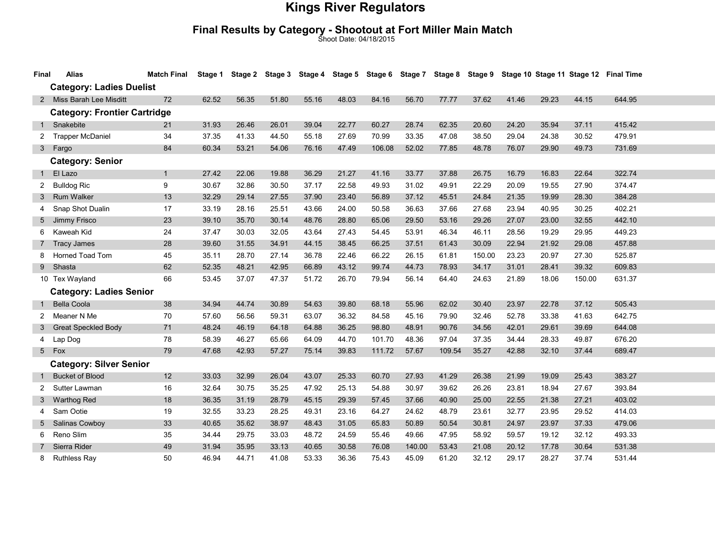# Final Results by Category - Shootout at Fort Miller Main Match Shoot Date: 04/18/2015

| Final                               | <b>Alias</b>                   | <b>Match Final</b> | Stage 1 |       |       | Stage 2 Stage 3 Stage 4 |       | Stage 5 Stage 6 Stage 7 |        | Stage 8 | Stage 9 |       |       |        | Stage 10 Stage 11 Stage 12 Final Time |
|-------------------------------------|--------------------------------|--------------------|---------|-------|-------|-------------------------|-------|-------------------------|--------|---------|---------|-------|-------|--------|---------------------------------------|
| <b>Category: Ladies Duelist</b>     |                                |                    |         |       |       |                         |       |                         |        |         |         |       |       |        |                                       |
|                                     | 2 Miss Barah Lee Misditt       | 72                 | 62.52   | 56.35 | 51.80 | 55.16                   | 48.03 | 84.16                   | 56.70  | 77.77   | 37.62   | 41.46 | 29.23 | 44.15  | 644.95                                |
| <b>Category: Frontier Cartridge</b> |                                |                    |         |       |       |                         |       |                         |        |         |         |       |       |        |                                       |
| $\mathbf{1}$                        | Snakebite                      | 21                 | 31.93   | 26.46 | 26.01 | 39.04                   | 22.77 | 60.27                   | 28.74  | 62.35   | 20.60   | 24.20 | 35.94 | 37.11  | 415.42                                |
| 2                                   | <b>Trapper McDaniel</b>        | 34                 | 37.35   | 41.33 | 44.50 | 55.18                   | 27.69 | 70.99                   | 33.35  | 47.08   | 38.50   | 29.04 | 24.38 | 30.52  | 479.91                                |
| 3 <sup>1</sup>                      | Fargo                          | 84                 | 60.34   | 53.21 | 54.06 | 76.16                   | 47.49 | 106.08                  | 52.02  | 77.85   | 48.78   | 76.07 | 29.90 | 49.73  | 731.69                                |
| <b>Category: Senior</b>             |                                |                    |         |       |       |                         |       |                         |        |         |         |       |       |        |                                       |
| $\mathbf{1}$                        | El Lazo                        | $\mathbf{1}$       | 27.42   | 22.06 | 19.88 | 36.29                   | 21.27 | 41.16                   | 33.77  | 37.88   | 26.75   | 16.79 | 16.83 | 22.64  | 322.74                                |
| $\overline{2}$                      | <b>Bulldog Ric</b>             | 9                  | 30.67   | 32.86 | 30.50 | 37.17                   | 22.58 | 49.93                   | 31.02  | 49.91   | 22.29   | 20.09 | 19.55 | 27.90  | 374.47                                |
| 3                                   | Rum Walker                     | 13                 | 32.29   | 29.14 | 27.55 | 37.90                   | 23.40 | 56.89                   | 37.12  | 45.51   | 24.84   | 21.35 | 19.99 | 28.30  | 384.28                                |
| 4                                   | Snap Shot Dualin               | 17                 | 33.19   | 28.16 | 25.51 | 43.66                   | 24.00 | 50.58                   | 36.63  | 37.66   | 27.68   | 23.94 | 40.95 | 30.25  | 402.21                                |
| 5                                   | Jimmy Frisco                   | 23                 | 39.10   | 35.70 | 30.14 | 48.76                   | 28.80 | 65.06                   | 29.50  | 53.16   | 29.26   | 27.07 | 23.00 | 32.55  | 442.10                                |
| 6                                   | Kaweah Kid                     | 24                 | 37.47   | 30.03 | 32.05 | 43.64                   | 27.43 | 54.45                   | 53.91  | 46.34   | 46.11   | 28.56 | 19.29 | 29.95  | 449.23                                |
| $7^{\circ}$                         | <b>Tracy James</b>             | 28                 | 39.60   | 31.55 | 34.91 | 44.15                   | 38.45 | 66.25                   | 37.51  | 61.43   | 30.09   | 22.94 | 21.92 | 29.08  | 457.88                                |
| 8                                   | Horned Toad Tom                | 45                 | 35.11   | 28.70 | 27.14 | 36.78                   | 22.46 | 66.22                   | 26.15  | 61.81   | 150.00  | 23.23 | 20.97 | 27.30  | 525.87                                |
| 9                                   | Shasta                         | 62                 | 52.35   | 48.21 | 42.95 | 66.89                   | 43.12 | 99.74                   | 44.73  | 78.93   | 34.17   | 31.01 | 28.41 | 39.32  | 609.83                                |
|                                     | 10 Tex Wayland                 | 66                 | 53.45   | 37.07 | 47.37 | 51.72                   | 26.70 | 79.94                   | 56.14  | 64.40   | 24.63   | 21.89 | 18.06 | 150.00 | 631.37                                |
|                                     | <b>Category: Ladies Senior</b> |                    |         |       |       |                         |       |                         |        |         |         |       |       |        |                                       |
| $\mathbf{1}$                        | <b>Bella Coola</b>             | 38                 | 34.94   | 44.74 | 30.89 | 54.63                   | 39.80 | 68.18                   | 55.96  | 62.02   | 30.40   | 23.97 | 22.78 | 37.12  | 505.43                                |
| 2                                   | Meaner N Me                    | 70                 | 57.60   | 56.56 | 59.31 | 63.07                   | 36.32 | 84.58                   | 45.16  | 79.90   | 32.46   | 52.78 | 33.38 | 41.63  | 642.75                                |
| 3                                   | <b>Great Speckled Body</b>     | 71                 | 48.24   | 46.19 | 64.18 | 64.88                   | 36.25 | 98.80                   | 48.91  | 90.76   | 34.56   | 42.01 | 29.61 | 39.69  | 644.08                                |
| 4                                   | Lap Dog                        | 78                 | 58.39   | 46.27 | 65.66 | 64.09                   | 44.70 | 101.70                  | 48.36  | 97.04   | 37.35   | 34.44 | 28.33 | 49.87  | 676.20                                |
| 5 <sub>5</sub>                      | Fox                            | 79                 | 47.68   | 42.93 | 57.27 | 75.14                   | 39.83 | 111.72                  | 57.67  | 109.54  | 35.27   | 42.88 | 32.10 | 37.44  | 689.47                                |
| <b>Category: Silver Senior</b>      |                                |                    |         |       |       |                         |       |                         |        |         |         |       |       |        |                                       |
| 1                                   | <b>Bucket of Blood</b>         | 12                 | 33.03   | 32.99 | 26.04 | 43.07                   | 25.33 | 60.70                   | 27.93  | 41.29   | 26.38   | 21.99 | 19.09 | 25.43  | 383.27                                |
| 2                                   | Sutter Lawman                  | 16                 | 32.64   | 30.75 | 35.25 | 47.92                   | 25.13 | 54.88                   | 30.97  | 39.62   | 26.26   | 23.81 | 18.94 | 27.67  | 393.84                                |
| 3                                   | <b>Warthog Red</b>             | 18                 | 36.35   | 31.19 | 28.79 | 45.15                   | 29.39 | 57.45                   | 37.66  | 40.90   | 25.00   | 22.55 | 21.38 | 27.21  | 403.02                                |
| 4                                   | Sam Ootie                      | 19                 | 32.55   | 33.23 | 28.25 | 49.31                   | 23.16 | 64.27                   | 24.62  | 48.79   | 23.61   | 32.77 | 23.95 | 29.52  | 414.03                                |
| 5                                   | Salinas Cowboy                 | 33                 | 40.65   | 35.62 | 38.97 | 48.43                   | 31.05 | 65.83                   | 50.89  | 50.54   | 30.81   | 24.97 | 23.97 | 37.33  | 479.06                                |
| 6                                   | Reno Slim                      | 35                 | 34.44   | 29.75 | 33.03 | 48.72                   | 24.59 | 55.46                   | 49.66  | 47.95   | 58.92   | 59.57 | 19.12 | 32.12  | 493.33                                |
| $\overline{7}$                      | Sierra Rider                   | 49                 | 31.94   | 35.95 | 33.13 | 40.65                   | 30.58 | 76.08                   | 140.00 | 53.43   | 21.08   | 20.12 | 17.78 | 30.64  | 531.38                                |
| 8                                   | <b>Ruthless Ray</b>            | 50                 | 46.94   | 44.71 | 41.08 | 53.33                   | 36.36 | 75.43                   | 45.09  | 61.20   | 32.12   | 29.17 | 28.27 | 37.74  | 531.44                                |